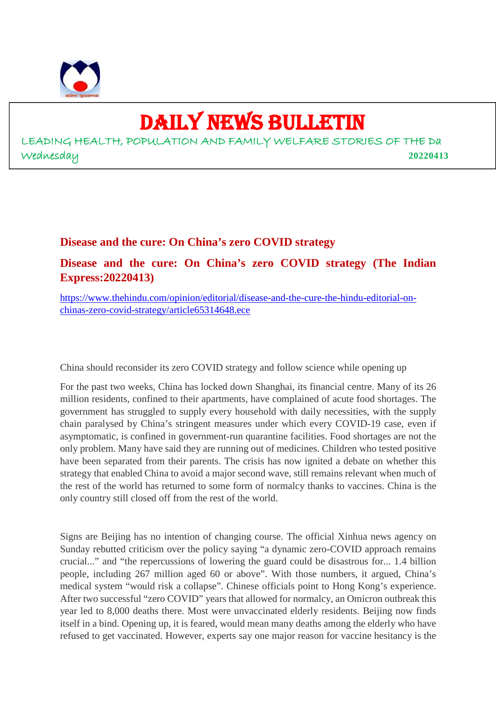

# DAILY NEWS BULLETIN

LEADING HEALTH, POPULATION AND FAMILY WELFARE STORIES OF THE Da Wednesday **20220413**

# **Disease and the cure: On China's zero COVID strategy**

**Disease and the cure: On China's zero COVID strategy (The Indian Express:20220413)**

https://www.thehindu.com/opinion/editorial/disease-and-the-cure-the-hindu-editorial-onchinas-zero-covid-strategy/article65314648.ece

China should reconsider its zero COVID strategy and follow science while opening up

For the past two weeks, China has locked down Shanghai, its financial centre. Many of its 26 million residents, confined to their apartments, have complained of acute food shortages. The government has struggled to supply every household with daily necessities, with the supply chain paralysed by China's stringent measures under which every COVID-19 case, even if asymptomatic, is confined in government-run quarantine facilities. Food shortages are not the only problem. Many have said they are running out of medicines. Children who tested positive have been separated from their parents. The crisis has now ignited a debate on whether this strategy that enabled China to avoid a major second wave, still remains relevant when much of the rest of the world has returned to some form of normalcy thanks to vaccines. China is the only country still closed off from the rest of the world.

Signs are Beijing has no intention of changing course. The official Xinhua news agency on Sunday rebutted criticism over the policy saying "a dynamic zero-COVID approach remains crucial..." and "the repercussions of lowering the guard could be disastrous for... 1.4 billion people, including 267 million aged 60 or above". With those numbers, it argued, China's medical system "would risk a collapse". Chinese officials point to Hong Kong's experience. After two successful "zero COVID" years that allowed for normalcy, an Omicron outbreak this year led to 8,000 deaths there. Most were unvaccinated elderly residents. Beijing now finds itself in a bind. Opening up, it is feared, would mean many deaths among the elderly who have refused to get vaccinated. However, experts say one major reason for vaccine hesitancy is the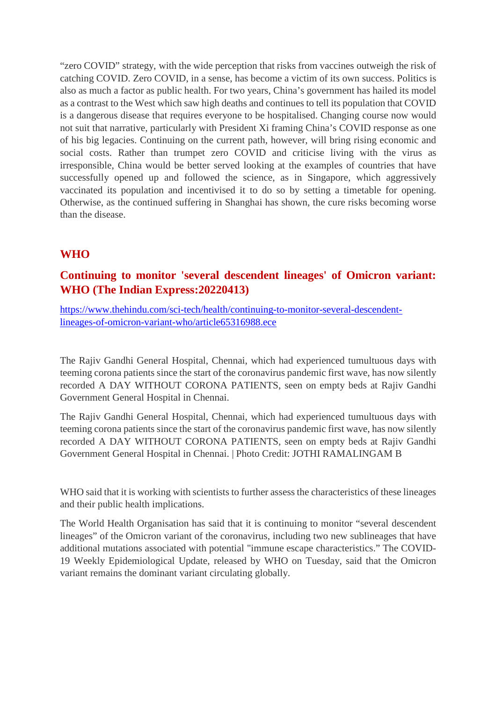"zero COVID" strategy, with the wide perception that risks from vaccines outweigh the risk of catching COVID. Zero COVID, in a sense, has become a victim of its own success. Politics is also as much a factor as public health. For two years, China's government has hailed its model as a contrast to the West which saw high deaths and continues to tell its population that COVID is a dangerous disease that requires everyone to be hospitalised. Changing course now would not suit that narrative, particularly with President Xi framing China's COVID response as one of his big legacies. Continuing on the current path, however, will bring rising economic and social costs. Rather than trumpet zero COVID and criticise living with the virus as irresponsible, China would be better served looking at the examples of countries that have successfully opened up and followed the science, as in Singapore, which aggressively vaccinated its population and incentivised it to do so by setting a timetable for opening. Otherwise, as the continued suffering in Shanghai has shown, the cure risks becoming worse than the disease.

# **WHO**

# **Continuing to monitor 'several descendent lineages' of Omicron variant: WHO (The Indian Express:20220413)**

https://www.thehindu.com/sci-tech/health/continuing-to-monitor-several-descendentlineages-of-omicron-variant-who/article65316988.ece

The Rajiv Gandhi General Hospital, Chennai, which had experienced tumultuous days with teeming corona patients since the start of the coronavirus pandemic first wave, has now silently recorded A DAY WITHOUT CORONA PATIENTS, seen on empty beds at Rajiv Gandhi Government General Hospital in Chennai.

The Rajiv Gandhi General Hospital, Chennai, which had experienced tumultuous days with teeming corona patients since the start of the coronavirus pandemic first wave, has now silently recorded A DAY WITHOUT CORONA PATIENTS, seen on empty beds at Rajiv Gandhi Government General Hospital in Chennai. | Photo Credit: JOTHI RAMALINGAM B

WHO said that it is working with scientists to further assess the characteristics of these lineages and their public health implications.

The World Health Organisation has said that it is continuing to monitor "several descendent lineages" of the Omicron variant of the coronavirus, including two new sublineages that have additional mutations associated with potential "immune escape characteristics." The COVID-19 Weekly Epidemiological Update, released by WHO on Tuesday, said that the Omicron variant remains the dominant variant circulating globally.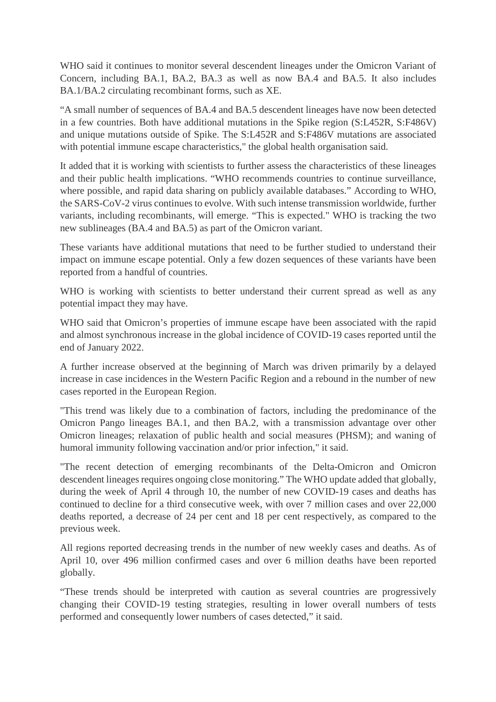WHO said it continues to monitor several descendent lineages under the Omicron Variant of Concern, including BA.1, BA.2, BA.3 as well as now BA.4 and BA.5. It also includes BA.1/BA.2 circulating recombinant forms, such as XE.

"A small number of sequences of BA.4 and BA.5 descendent lineages have now been detected in a few countries. Both have additional mutations in the Spike region (S:L452R, S:F486V) and unique mutations outside of Spike. The S:L452R and S:F486V mutations are associated with potential immune escape characteristics," the global health organisation said.

It added that it is working with scientists to further assess the characteristics of these lineages and their public health implications. "WHO recommends countries to continue surveillance, where possible, and rapid data sharing on publicly available databases." According to WHO, the SARS-CoV-2 virus continues to evolve. With such intense transmission worldwide, further variants, including recombinants, will emerge. "This is expected." WHO is tracking the two new sublineages (BA.4 and BA.5) as part of the Omicron variant.

These variants have additional mutations that need to be further studied to understand their impact on immune escape potential. Only a few dozen sequences of these variants have been reported from a handful of countries.

WHO is working with scientists to better understand their current spread as well as any potential impact they may have.

WHO said that Omicron's properties of immune escape have been associated with the rapid and almost synchronous increase in the global incidence of COVID-19 cases reported until the end of January 2022.

A further increase observed at the beginning of March was driven primarily by a delayed increase in case incidences in the Western Pacific Region and a rebound in the number of new cases reported in the European Region.

"This trend was likely due to a combination of factors, including the predominance of the Omicron Pango lineages BA.1, and then BA.2, with a transmission advantage over other Omicron lineages; relaxation of public health and social measures (PHSM); and waning of humoral immunity following vaccination and/or prior infection," it said.

"The recent detection of emerging recombinants of the Delta-Omicron and Omicron descendent lineages requires ongoing close monitoring." The WHO update added that globally, during the week of April 4 through 10, the number of new COVID-19 cases and deaths has continued to decline for a third consecutive week, with over 7 million cases and over 22,000 deaths reported, a decrease of 24 per cent and 18 per cent respectively, as compared to the previous week.

All regions reported decreasing trends in the number of new weekly cases and deaths. As of April 10, over 496 million confirmed cases and over 6 million deaths have been reported globally.

"These trends should be interpreted with caution as several countries are progressively changing their COVID-19 testing strategies, resulting in lower overall numbers of tests performed and consequently lower numbers of cases detected," it said.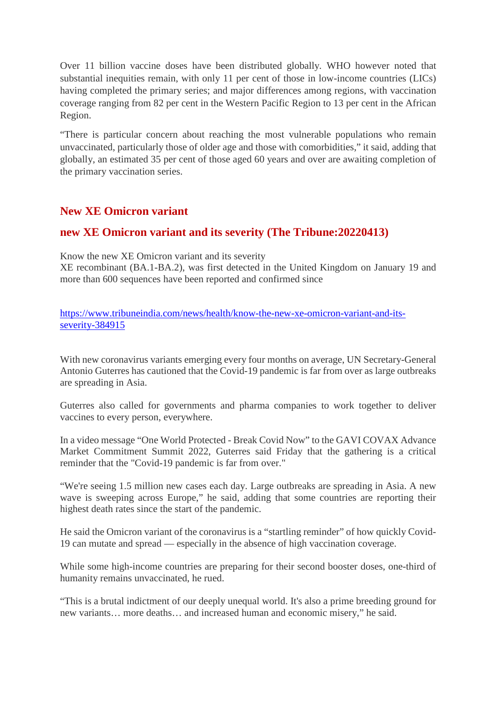Over 11 billion vaccine doses have been distributed globally. WHO however noted that substantial inequities remain, with only 11 per cent of those in low-income countries (LICs) having completed the primary series; and major differences among regions, with vaccination coverage ranging from 82 per cent in the Western Pacific Region to 13 per cent in the African Region.

"There is particular concern about reaching the most vulnerable populations who remain unvaccinated, particularly those of older age and those with comorbidities," it said, adding that globally, an estimated 35 per cent of those aged 60 years and over are awaiting completion of the primary vaccination series.

# **New XE Omicron variant**

# **new XE Omicron variant and its severity (The Tribune:20220413)**

Know the new XE Omicron variant and its severity

XE recombinant (BA.1-BA.2), was first detected in the United Kingdom on January 19 and more than 600 sequences have been reported and confirmed since

https://www.tribuneindia.com/news/health/know-the-new-xe-omicron-variant-and-itsseverity-384915

With new coronavirus variants emerging every four months on average, UN Secretary-General Antonio Guterres has cautioned that the Covid-19 pandemic is far from over as large outbreaks are spreading in Asia.

Guterres also called for governments and pharma companies to work together to deliver vaccines to every person, everywhere.

In a video message "One World Protected - Break Covid Now" to the GAVI COVAX Advance Market Commitment Summit 2022, Guterres said Friday that the gathering is a critical reminder that the "Covid-19 pandemic is far from over."

"We're seeing 1.5 million new cases each day. Large outbreaks are spreading in Asia. A new wave is sweeping across Europe," he said, adding that some countries are reporting their highest death rates since the start of the pandemic.

He said the Omicron variant of the coronavirus is a "startling reminder" of how quickly Covid-19 can mutate and spread — especially in the absence of high vaccination coverage.

While some high-income countries are preparing for their second booster doses, one-third of humanity remains unvaccinated, he rued.

"This is a brutal indictment of our deeply unequal world. It's also a prime breeding ground for new variants… more deaths… and increased human and economic misery," he said.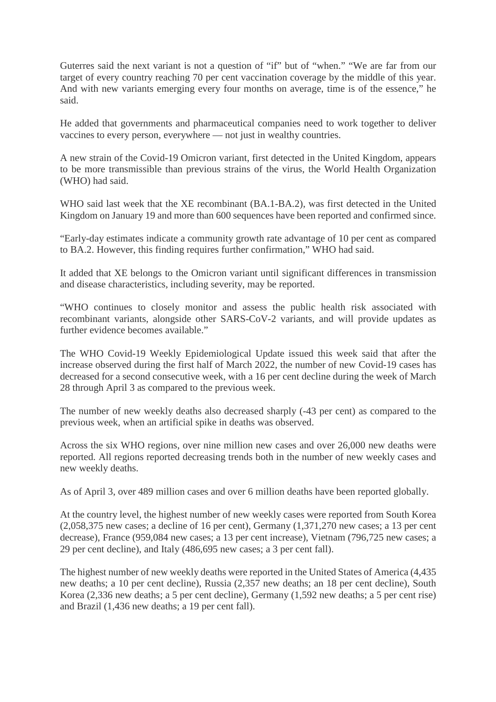Guterres said the next variant is not a question of "if" but of "when." "We are far from our target of every country reaching 70 per cent vaccination coverage by the middle of this year. And with new variants emerging every four months on average, time is of the essence," he said.

He added that governments and pharmaceutical companies need to work together to deliver vaccines to every person, everywhere — not just in wealthy countries.

A new strain of the Covid-19 Omicron variant, first detected in the United Kingdom, appears to be more transmissible than previous strains of the virus, the World Health Organization (WHO) had said.

WHO said last week that the XE recombinant (BA.1-BA.2), was first detected in the United Kingdom on January 19 and more than 600 sequences have been reported and confirmed since.

"Early-day estimates indicate a community growth rate advantage of 10 per cent as compared to BA.2. However, this finding requires further confirmation," WHO had said.

It added that XE belongs to the Omicron variant until significant differences in transmission and disease characteristics, including severity, may be reported.

"WHO continues to closely monitor and assess the public health risk associated with recombinant variants, alongside other SARS-CoV-2 variants, and will provide updates as further evidence becomes available."

The WHO Covid-19 Weekly Epidemiological Update issued this week said that after the increase observed during the first half of March 2022, the number of new Covid-19 cases has decreased for a second consecutive week, with a 16 per cent decline during the week of March 28 through April 3 as compared to the previous week.

The number of new weekly deaths also decreased sharply (-43 per cent) as compared to the previous week, when an artificial spike in deaths was observed.

Across the six WHO regions, over nine million new cases and over 26,000 new deaths were reported. All regions reported decreasing trends both in the number of new weekly cases and new weekly deaths.

As of April 3, over 489 million cases and over 6 million deaths have been reported globally.

At the country level, the highest number of new weekly cases were reported from South Korea (2,058,375 new cases; a decline of 16 per cent), Germany (1,371,270 new cases; a 13 per cent decrease), France (959,084 new cases; a 13 per cent increase), Vietnam (796,725 new cases; a 29 per cent decline), and Italy (486,695 new cases; a 3 per cent fall).

The highest number of new weekly deaths were reported in the United States of America (4,435 new deaths; a 10 per cent decline), Russia (2,357 new deaths; an 18 per cent decline), South Korea (2,336 new deaths; a 5 per cent decline), Germany (1,592 new deaths; a 5 per cent rise) and Brazil (1,436 new deaths; a 19 per cent fall).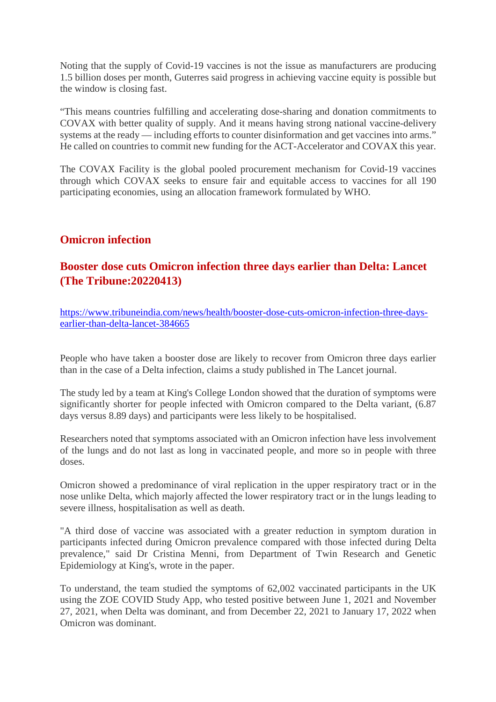Noting that the supply of Covid-19 vaccines is not the issue as manufacturers are producing 1.5 billion doses per month, Guterres said progress in achieving vaccine equity is possible but the window is closing fast.

"This means countries fulfilling and accelerating dose-sharing and donation commitments to COVAX with better quality of supply. And it means having strong national vaccine-delivery systems at the ready — including efforts to counter disinformation and get vaccines into arms." He called on countries to commit new funding for the ACT-Accelerator and COVAX this year.

The COVAX Facility is the global pooled procurement mechanism for Covid-19 vaccines through which COVAX seeks to ensure fair and equitable access to vaccines for all 190 participating economies, using an allocation framework formulated by WHO.

# **Omicron infection**

# **Booster dose cuts Omicron infection three days earlier than Delta: Lancet (The Tribune:20220413)**

https://www.tribuneindia.com/news/health/booster-dose-cuts-omicron-infection-three-daysearlier-than-delta-lancet-384665

People who have taken a booster dose are likely to recover from Omicron three days earlier than in the case of a Delta infection, claims a study published in The Lancet journal.

The study led by a team at King's College London showed that the duration of symptoms were significantly shorter for people infected with Omicron compared to the Delta variant, (6.87 days versus 8.89 days) and participants were less likely to be hospitalised.

Researchers noted that symptoms associated with an Omicron infection have less involvement of the lungs and do not last as long in vaccinated people, and more so in people with three doses.

Omicron showed a predominance of viral replication in the upper respiratory tract or in the nose unlike Delta, which majorly affected the lower respiratory tract or in the lungs leading to severe illness, hospitalisation as well as death.

"A third dose of vaccine was associated with a greater reduction in symptom duration in participants infected during Omicron prevalence compared with those infected during Delta prevalence," said Dr Cristina Menni, from Department of Twin Research and Genetic Epidemiology at King's, wrote in the paper.

To understand, the team studied the symptoms of 62,002 vaccinated participants in the UK using the ZOE COVID Study App, who tested positive between June 1, 2021 and November 27, 2021, when Delta was dominant, and from December 22, 2021 to January 17, 2022 when Omicron was dominant.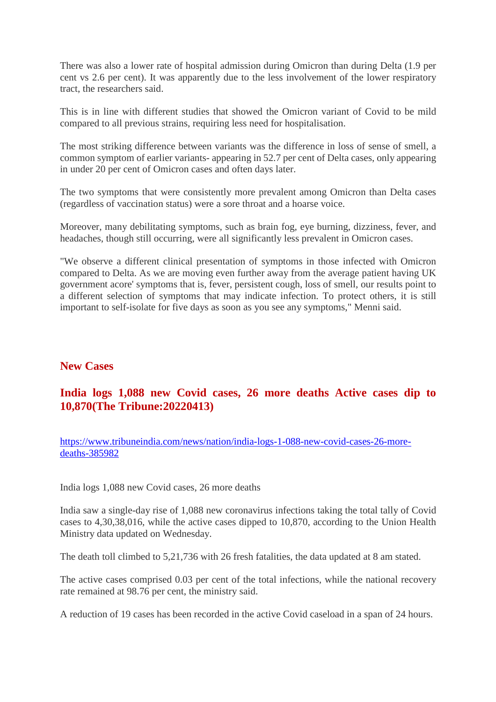There was also a lower rate of hospital admission during Omicron than during Delta (1.9 per cent vs 2.6 per cent). It was apparently due to the less involvement of the lower respiratory tract, the researchers said.

This is in line with different studies that showed the Omicron variant of Covid to be mild compared to all previous strains, requiring less need for hospitalisation.

The most striking difference between variants was the difference in loss of sense of smell, a common symptom of earlier variants- appearing in 52.7 per cent of Delta cases, only appearing in under 20 per cent of Omicron cases and often days later.

The two symptoms that were consistently more prevalent among Omicron than Delta cases (regardless of vaccination status) were a sore throat and a hoarse voice.

Moreover, many debilitating symptoms, such as brain fog, eye burning, dizziness, fever, and headaches, though still occurring, were all significantly less prevalent in Omicron cases.

"We observe a different clinical presentation of symptoms in those infected with Omicron compared to Delta. As we are moving even further away from the average patient having UK government acore' symptoms that is, fever, persistent cough, loss of smell, our results point to a different selection of symptoms that may indicate infection. To protect others, it is still important to self-isolate for five days as soon as you see any symptoms," Menni said.

# **New Cases**

# **India logs 1,088 new Covid cases, 26 more deaths Active cases dip to 10,870(The Tribune:20220413)**

https://www.tribuneindia.com/news/nation/india-logs-1-088-new-covid-cases-26-moredeaths-385982

India logs 1,088 new Covid cases, 26 more deaths

India saw a single-day rise of 1,088 new coronavirus infections taking the total tally of Covid cases to 4,30,38,016, while the active cases dipped to 10,870, according to the Union Health Ministry data updated on Wednesday.

The death toll climbed to 5,21,736 with 26 fresh fatalities, the data updated at 8 am stated.

The active cases comprised 0.03 per cent of the total infections, while the national recovery rate remained at 98.76 per cent, the ministry said.

A reduction of 19 cases has been recorded in the active Covid caseload in a span of 24 hours.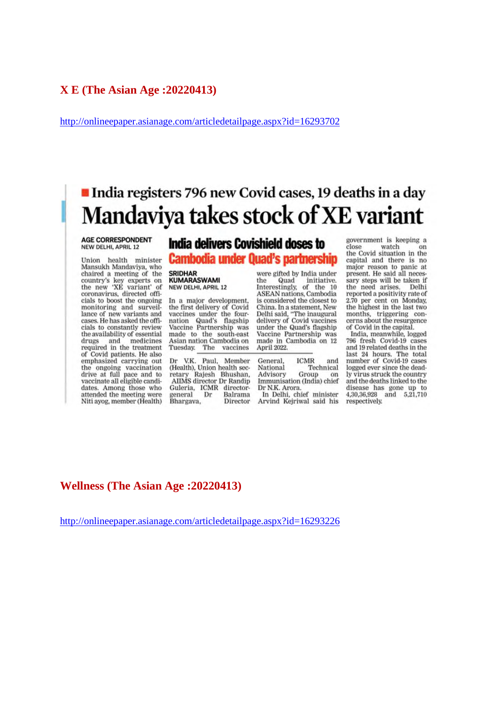### **X E (The Asian Age :20220413)**

http://onlineepaper.asianage.com/articledetailpage.aspx?id=16293702

# India registers 796 new Covid cases, 19 deaths in a day Mandaviya takes stock of XE variant

#### **AGE CORRESPONDENT** NEW DELHI, APRIL 12

Union health minister Mansukh Mandaviya, who chaired a meeting of the country's key experts on<br>the new 'XE variant' of coronavirus, directed officials to boost the ongoing<br>monitoring and surveillance of new variants and cases. He has asked the officials to constantly review the availability of essential drugs and medicines<br>required in the treatment of Covid patients. He also emphasized carrying out the ongoing vaccination<br>drive at full pace and to<br>vaccinate all eligible candidates. Among those who attended the meeting were Niti ayog, member (Health)

# India delivers Covishield doses to **Cambodia under Quad's partnership**

#### SRIDHAR<br>KUMARASWAMI NEW DELHI, APRIL 12

In a major development, the first delivery of Covid vaccines under the fournation Quad's flagship Vaccine Partnership was made to the south-east Asian nation Cambodia on **Tuesday.** The vaccines

Dr V.K. Paul, Member<br>(Health), Union health secretary Rajesh Bhushan,<br>AIIMS director Dr Randip Guleria, ICMR directorgeneral Dr Balrama Bhargava, Director

were gifted by India under the Quad initiative. Interestingly, of the 10<br>ASEAN nations, Cambodia is considered the closest to China. In a statement, New<br>Delhi said, "The inaugural<br>delivery of Covid vaccines under the Quad's flagship Vaccine Partnership was made in Cambodia on 12 April 2022.

General. **ICMR** and Technical National Advisory Group on Immunisation (India) chief Dr N.K. Arora.

In Delhi, chief minister Arvind Keiriwal said his

government is keeping a ezolo watch the Covid situation in the capital and there is no major reason to panic at present. He said all necessary steps will be taken if the need arises. Delhi reported a positivity rate of 2.70 per cent on Monday.<br>the highest in the last two months, triggering concerns about the resurgence of Covid in the capital.

India, meanwhile, logged 796 fresh Covid-19 cases and 19 related deaths in the last 24 hours. The total number of Covid-19 cases logged ever since the deadly virus struck the country and the deaths linked to the disease has gone up to  $4,30,36,928$  and  $5,21,710$  respectively.

#### **Wellness (The Asian Age :20220413)**

http://onlineepaper.asianage.com/articledetailpage.aspx?id=16293226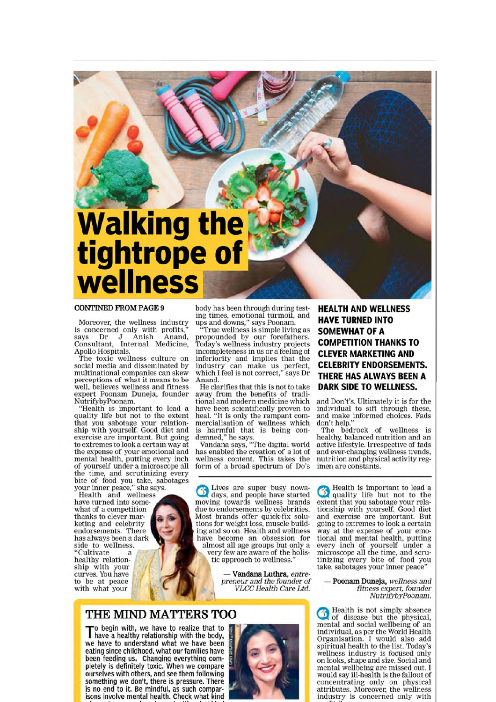# **Walking the**<br>tightrope of wellness

#### **CONTINED FROM PAGE 9**

Moreover, the wellness industry is concerned only with profits, says Dr J Anish Anand,<br>Consultant, Internal Medicine, Apollo Hospitals.<br>The toxic wellness culture on

social media and disseminated by multinational companies can skew perceptions of what it means to be well, believes wellness and fitness expert Poonam Duneja, founder NutrifybyPoonam.

"Health is important to lead a<br>quality life but not to the extent that you sabotage your relation-<br>ship with yourself. Good diet and exercise are important. But going to extremes to look a certain way at the expense of your emotional and mental health, putting every inch<br>of yourself under a microscope all the time, and scrutinizing every the of food you take, sabotages<br>your inner peace," she says.<br>Health and wellness

have turned into somewhat of a competition thanks to clever marketing and celebrity endorsements. There has always been a dark side to wellness.

"Cultivate healthy relationship with your<br>curves. You have to be at peace with what your

body has been through during testing times, emotional turmoil, and<br>ups and downs," says Poonam.<br>"True wellness is simple living as

propounded by our forefathers.<br>Today's wellness industry projects incompleteness in us or a feeling of inferiority and implies that the industry can make us perfect,<br>which I feel is not correct," says Dr Anand.

He clarifies that this is not to take away from the benefits of tradi-<br>tional and modern medicine which have been scientifically proven to<br>heal. "It is only the rampant commercialisation of wellness which<br>is harmful that is being con-

demned," he says.<br>Vandana says, "The digital world<br>has enabled the creation of a lot of wellness content. This takes the<br>form of a broad spectrum of Do's **HEALTH AND WELLNESS HAVE TURNED INTO SOMEWHAT OF A COMPETITION THANKS TO CLEVER MARKETING AND CELEBRITY ENDORSEMENTS.** THERE HAS ALWAYS BEEN A DARK SIDE TO WELLNESS.

and Don't's. Ultimately it is for the individual to sift through these, and make informed choices. Fads don't help."

The bedrock of wellness is healthy, balanced nutrition and an active lifestyle. Irrespective of fads and ever-changing wellness trends, nutrition and physical activity regimen are constants.

Lives are super busy nowa-<br>days, and people have started moving towards wellness brands due to endorsements by celebrities. Most brands offer quick-fix solutions for weight loss, muscle building and so on. Health and wellness have become an obsession for almost all age groups but only a

very few are aware of the holistic approach to wellness.'

> Vandana Luthra, entrepreneur and the founder of VLCC Health Care Ltd.

Health is important to lead a<br>quality life but not to the extent that you sabotage your relationship with yourself. Good diet and exercise are important. But going to extremes to look a certain way at the expense of your emotional and mental health, putting every inch of yourself under a microscope all the time, and scru-<br>tinizing every bite of food you take, sabotages your inner peace'

> - Poonam Duneja, wellness and fitness expert, founder<br>NutrifybyPoonam.

Health is not simply absence of disease but the physical, mental and social wellbeing of an individual, as per the World Health Organisation. I would also add spiritual health to the list. Today's wellness industry is focused only on looks, shape and size. Social and mental wellbeing are missed out. I would say ill-health is the fallout of concentrating only on physical<br>attributes. Moreover, the wellness industry is concerned only with

#### THE MIND MATTERS TOO

To begin with, we have to realize that to<br>Thave a healthy relationship with the body, we have to understand what we have been eating since childhood, what our families have been feeding us. Changing everything completely is definitely toxic. When we compare ourselves with others, and see them following something we don't, there is pressure. There is no end to it. Be mindful, as such comparisons involve mental health. Check what kind

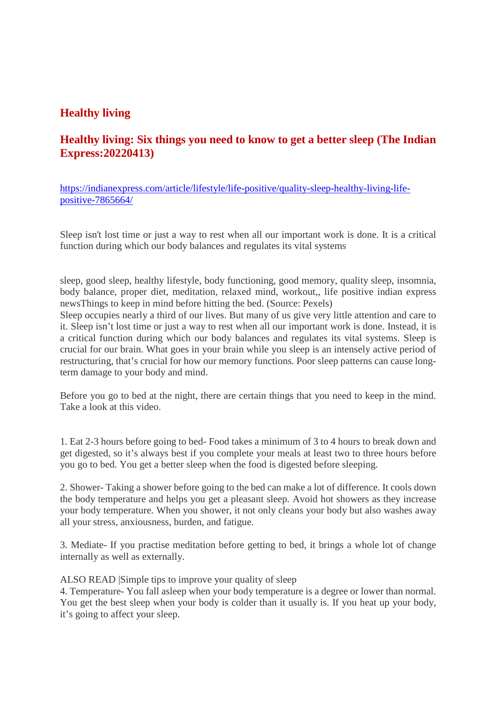# **Healthy living**

# **Healthy living: Six things you need to know to get a better sleep (The Indian Express:20220413)**

https://indianexpress.com/article/lifestyle/life-positive/quality-sleep-healthy-living-lifepositive-7865664/

Sleep isn't lost time or just a way to rest when all our important work is done. It is a critical function during which our body balances and regulates its vital systems

sleep, good sleep, healthy lifestyle, body functioning, good memory, quality sleep, insomnia, body balance, proper diet, meditation, relaxed mind, workout,, life positive indian express newsThings to keep in mind before hitting the bed. (Source: Pexels)

Sleep occupies nearly a third of our lives. But many of us give very little attention and care to it. Sleep isn't lost time or just a way to rest when all our important work is done. Instead, it is a critical function during which our body balances and regulates its vital systems. Sleep is crucial for our brain. What goes in your brain while you sleep is an intensely active period of restructuring, that's crucial for how our memory functions. Poor sleep patterns can cause longterm damage to your body and mind.

Before you go to bed at the night, there are certain things that you need to keep in the mind. Take a look at this video.

1. Eat 2-3 hours before going to bed- Food takes a minimum of 3 to 4 hours to break down and get digested, so it's always best if you complete your meals at least two to three hours before you go to bed. You get a better sleep when the food is digested before sleeping.

2. Shower- Taking a shower before going to the bed can make a lot of difference. It cools down the body temperature and helps you get a pleasant sleep. Avoid hot showers as they increase your body temperature. When you shower, it not only cleans your body but also washes away all your stress, anxiousness, burden, and fatigue.

3. Mediate- If you practise meditation before getting to bed, it brings a whole lot of change internally as well as externally.

ALSO READ |Simple tips to improve your quality of sleep

4. Temperature- You fall asleep when your body temperature is a degree or lower than normal. You get the best sleep when your body is colder than it usually is. If you heat up your body, it's going to affect your sleep.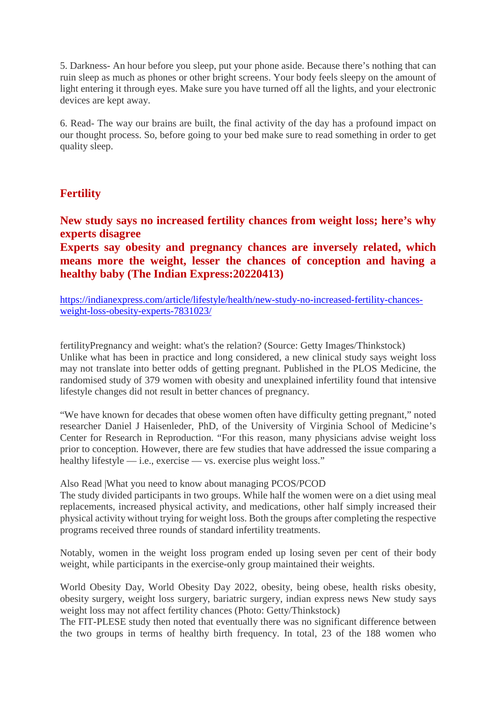5. Darkness- An hour before you sleep, put your phone aside. Because there's nothing that can ruin sleep as much as phones or other bright screens. Your body feels sleepy on the amount of light entering it through eyes. Make sure you have turned off all the lights, and your electronic devices are kept away.

6. Read- The way our brains are built, the final activity of the day has a profound impact on our thought process. So, before going to your bed make sure to read something in order to get quality sleep.

# **Fertility**

**New study says no increased fertility chances from weight loss; here's why experts disagree**

**Experts say obesity and pregnancy chances are inversely related, which means more the weight, lesser the chances of conception and having a healthy baby (The Indian Express:20220413)**

https://indianexpress.com/article/lifestyle/health/new-study-no-increased-fertility-chancesweight-loss-obesity-experts-7831023/

fertilityPregnancy and weight: what's the relation? (Source: Getty Images/Thinkstock) Unlike what has been in practice and long considered, a new clinical study says weight loss may not translate into better odds of getting pregnant. Published in the PLOS Medicine, the randomised study of 379 women with obesity and unexplained infertility found that intensive lifestyle changes did not result in better chances of pregnancy.

"We have known for decades that obese women often have difficulty getting pregnant," noted researcher Daniel J Haisenleder, PhD, of the University of Virginia School of Medicine's Center for Research in Reproduction. "For this reason, many physicians advise weight loss prior to conception. However, there are few studies that have addressed the issue comparing a healthy lifestyle — i.e., exercise — vs. exercise plus weight loss."

Also Read |What you need to know about managing PCOS/PCOD

The study divided participants in two groups. While half the women were on a diet using meal replacements, increased physical activity, and medications, other half simply increased their physical activity without trying for weight loss. Both the groups after completing the respective programs received three rounds of standard infertility treatments.

Notably, women in the weight loss program ended up losing seven per cent of their body weight, while participants in the exercise-only group maintained their weights.

World Obesity Day, World Obesity Day 2022, obesity, being obese, health risks obesity, obesity surgery, weight loss surgery, bariatric surgery, indian express news New study says weight loss may not affect fertility chances (Photo: Getty/Thinkstock)

The FIT-PLESE study then noted that eventually there was no significant difference between the two groups in terms of healthy birth frequency. In total, 23 of the 188 women who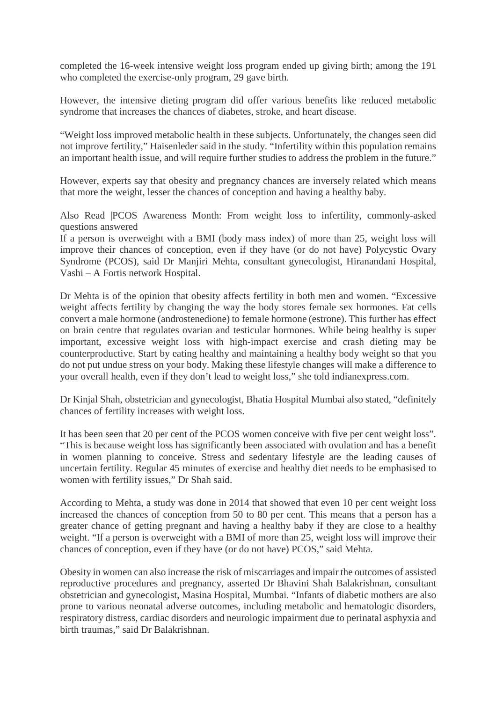completed the 16-week intensive weight loss program ended up giving birth; among the 191 who completed the exercise-only program, 29 gave birth.

However, the intensive dieting program did offer various benefits like reduced metabolic syndrome that increases the chances of diabetes, stroke, and heart disease.

"Weight loss improved metabolic health in these subjects. Unfortunately, the changes seen did not improve fertility," Haisenleder said in the study. "Infertility within this population remains an important health issue, and will require further studies to address the problem in the future."

However, experts say that obesity and pregnancy chances are inversely related which means that more the weight, lesser the chances of conception and having a healthy baby.

Also Read |PCOS Awareness Month: From weight loss to infertility, commonly-asked questions answered

If a person is overweight with a BMI (body mass index) of more than 25, weight loss will improve their chances of conception, even if they have (or do not have) Polycystic Ovary Syndrome (PCOS), said Dr Manjiri Mehta, consultant gynecologist, Hiranandani Hospital, Vashi – A Fortis network Hospital.

Dr Mehta is of the opinion that obesity affects fertility in both men and women. "Excessive weight affects fertility by changing the way the body stores female sex hormones. Fat cells convert a male hormone (androstenedione) to female hormone (estrone). This further has effect on brain centre that regulates ovarian and testicular hormones. While being healthy is super important, excessive weight loss with high-impact exercise and crash dieting may be counterproductive. Start by eating healthy and maintaining a healthy body weight so that you do not put undue stress on your body. Making these lifestyle changes will make a difference to your overall health, even if they don't lead to weight loss," she told indianexpress.com.

Dr Kinjal Shah, obstetrician and gynecologist, Bhatia Hospital Mumbai also stated, "definitely chances of fertility increases with weight loss.

It has been seen that 20 per cent of the PCOS women conceive with five per cent weight loss". "This is because weight loss has significantly been associated with ovulation and has a benefit in women planning to conceive. Stress and sedentary lifestyle are the leading causes of uncertain fertility. Regular 45 minutes of exercise and healthy diet needs to be emphasised to women with fertility issues," Dr Shah said.

According to Mehta, a study was done in 2014 that showed that even 10 per cent weight loss increased the chances of conception from 50 to 80 per cent. This means that a person has a greater chance of getting pregnant and having a healthy baby if they are close to a healthy weight. "If a person is overweight with a BMI of more than 25, weight loss will improve their chances of conception, even if they have (or do not have) PCOS," said Mehta.

Obesity in women can also increase the risk of miscarriages and impair the outcomes of assisted reproductive procedures and pregnancy, asserted Dr Bhavini Shah Balakrishnan, consultant obstetrician and gynecologist, Masina Hospital, Mumbai. "Infants of diabetic mothers are also prone to various neonatal adverse outcomes, including metabolic and hematologic disorders, respiratory distress, cardiac disorders and neurologic impairment due to perinatal asphyxia and birth traumas," said Dr Balakrishnan.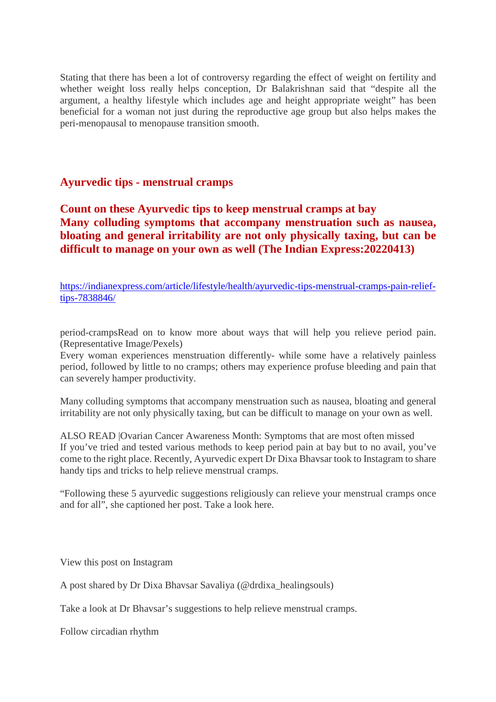Stating that there has been a lot of controversy regarding the effect of weight on fertility and whether weight loss really helps conception, Dr Balakrishnan said that "despite all the argument, a healthy lifestyle which includes age and height appropriate weight" has been beneficial for a woman not just during the reproductive age group but also helps makes the peri-menopausal to menopause transition smooth.

# **Ayurvedic tips - menstrual cramps**

**Count on these Ayurvedic tips to keep menstrual cramps at bay Many colluding symptoms that accompany menstruation such as nausea, bloating and general irritability are not only physically taxing, but can be difficult to manage on your own as well (The Indian Express:20220413)**

https://indianexpress.com/article/lifestyle/health/ayurvedic-tips-menstrual-cramps-pain-relieftips-7838846/

period-crampsRead on to know more about ways that will help you relieve period pain. (Representative Image/Pexels)

Every woman experiences menstruation differently- while some have a relatively painless period, followed by little to no cramps; others may experience profuse bleeding and pain that can severely hamper productivity.

Many colluding symptoms that accompany menstruation such as nausea, bloating and general irritability are not only physically taxing, but can be difficult to manage on your own as well.

ALSO READ |Ovarian Cancer Awareness Month: Symptoms that are most often missed If you've tried and tested various methods to keep period pain at bay but to no avail, you've come to the right place. Recently, Ayurvedic expert Dr Dixa Bhavsar took to Instagram to share handy tips and tricks to help relieve menstrual cramps.

"Following these 5 ayurvedic suggestions religiously can relieve your menstrual cramps once and for all", she captioned her post. Take a look here.

View this post on Instagram

A post shared by Dr Dixa Bhavsar Savaliya (@drdixa\_healingsouls)

Take a look at Dr Bhavsar's suggestions to help relieve menstrual cramps.

Follow circadian rhythm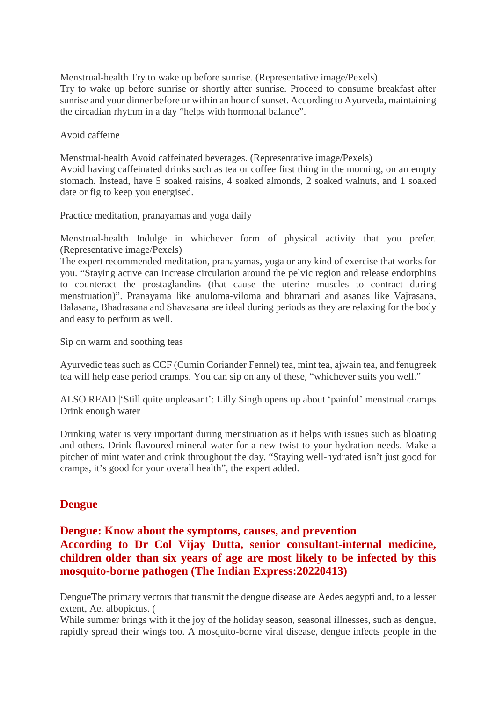Menstrual-health Try to wake up before sunrise. (Representative image/Pexels) Try to wake up before sunrise or shortly after sunrise. Proceed to consume breakfast after sunrise and your dinner before or within an hour of sunset. According to Ayurveda, maintaining the circadian rhythm in a day "helps with hormonal balance".

Avoid caffeine

Menstrual-health Avoid caffeinated beverages. (Representative image/Pexels) Avoid having caffeinated drinks such as tea or coffee first thing in the morning, on an empty stomach. Instead, have 5 soaked raisins, 4 soaked almonds, 2 soaked walnuts, and 1 soaked date or fig to keep you energised.

Practice meditation, pranayamas and yoga daily

Menstrual-health Indulge in whichever form of physical activity that you prefer. (Representative image/Pexels)

The expert recommended meditation, pranayamas, yoga or any kind of exercise that works for you. "Staying active can increase circulation around the pelvic region and release endorphins to counteract the prostaglandins (that cause the uterine muscles to contract during menstruation)". Pranayama like anuloma-viloma and bhramari and asanas like Vajrasana, Balasana, Bhadrasana and Shavasana are ideal during periods as they are relaxing for the body and easy to perform as well.

Sip on warm and soothing teas

Ayurvedic teas such as CCF (Cumin Coriander Fennel) tea, mint tea, ajwain tea, and fenugreek tea will help ease period cramps. You can sip on any of these, "whichever suits you well."

ALSO READ |'Still quite unpleasant': Lilly Singh opens up about 'painful' menstrual cramps Drink enough water

Drinking water is very important during menstruation as it helps with issues such as bloating and others. Drink flavoured mineral water for a new twist to your hydration needs. Make a pitcher of mint water and drink throughout the day. "Staying well-hydrated isn't just good for cramps, it's good for your overall health", the expert added.

# **Dengue**

# **Dengue: Know about the symptoms, causes, and prevention According to Dr Col Vijay Dutta, senior consultant-internal medicine, children older than six years of age are most likely to be infected by this mosquito-borne pathogen (The Indian Express:20220413)**

DengueThe primary vectors that transmit the dengue disease are Aedes aegypti and, to a lesser extent, Ae. albopictus. (

While summer brings with it the joy of the holiday season, seasonal illnesses, such as dengue, rapidly spread their wings too. A mosquito-borne viral disease, dengue infects people in the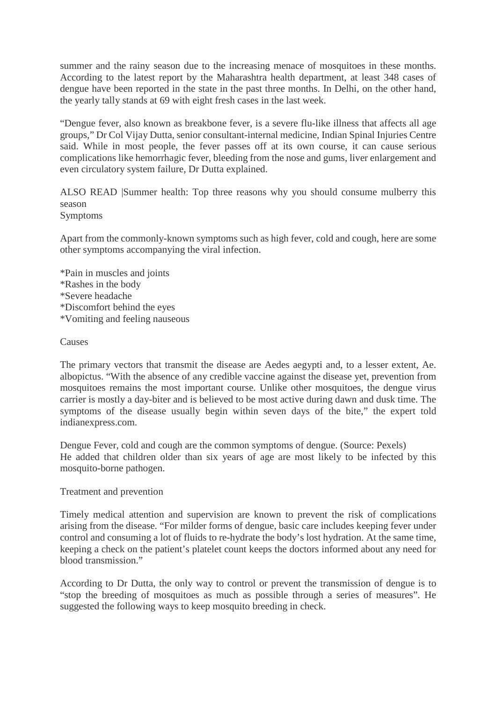summer and the rainy season due to the increasing menace of mosquitoes in these months. According to the latest report by the Maharashtra health department, at least 348 cases of dengue have been reported in the state in the past three months. In Delhi, on the other hand, the yearly tally stands at 69 with eight fresh cases in the last week.

"Dengue fever, also known as breakbone fever, is a severe flu-like illness that affects all age groups," Dr Col Vijay Dutta, senior consultant-internal medicine, Indian Spinal Injuries Centre said. While in most people, the fever passes off at its own course, it can cause serious complications like hemorrhagic fever, bleeding from the nose and gums, liver enlargement and even circulatory system failure, Dr Dutta explained.

ALSO READ |Summer health: Top three reasons why you should consume mulberry this season Symptoms

Apart from the commonly-known symptoms such as high fever, cold and cough, here are some other symptoms accompanying the viral infection.

\*Pain in muscles and joints \*Rashes in the body \*Severe headache \*Discomfort behind the eyes \*Vomiting and feeling nauseous

#### Causes

The primary vectors that transmit the disease are Aedes aegypti and, to a lesser extent, Ae. albopictus. "With the absence of any credible vaccine against the disease yet, prevention from mosquitoes remains the most important course. Unlike other mosquitoes, the dengue virus carrier is mostly a day-biter and is believed to be most active during dawn and dusk time. The symptoms of the disease usually begin within seven days of the bite," the expert told indianexpress.com.

Dengue Fever, cold and cough are the common symptoms of dengue. (Source: Pexels) He added that children older than six years of age are most likely to be infected by this mosquito-borne pathogen.

#### Treatment and prevention

Timely medical attention and supervision are known to prevent the risk of complications arising from the disease. "For milder forms of dengue, basic care includes keeping fever under control and consuming a lot of fluids to re-hydrate the body's lost hydration. At the same time, keeping a check on the patient's platelet count keeps the doctors informed about any need for blood transmission."

According to Dr Dutta, the only way to control or prevent the transmission of dengue is to "stop the breeding of mosquitoes as much as possible through a series of measures". He suggested the following ways to keep mosquito breeding in check.